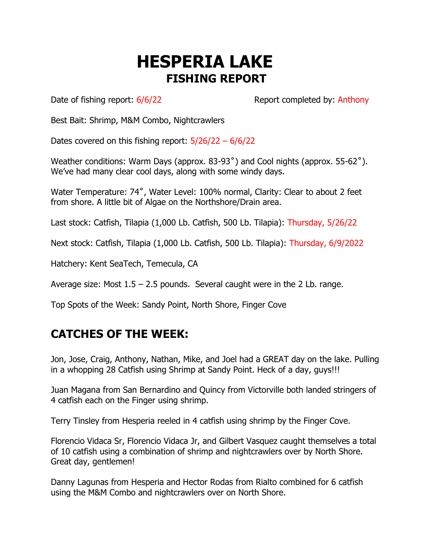## **HESPERIA LAKE FISHING REPORT**

Date of fishing report:  $6/6/22$  Report completed by: Anthony

Best Bait: Shrimp, M&M Combo, Nightcrawlers

Dates covered on this fishing report:  $5/26/22 - 6/6/22$ 

Weather conditions: Warm Days (approx. 83-93˚) and Cool nights (approx. 55-62˚). We've had many clear cool days, along with some windy days.

Water Temperature: 74˚, Water Level: 100% normal, Clarity: Clear to about 2 feet from shore. A little bit of Algae on the Northshore/Drain area.

Last stock: Catfish, Tilapia (1,000 Lb. Catfish, 500 Lb. Tilapia): Thursday, 5/26/22

Next stock: Catfish, Tilapia (1,000 Lb. Catfish, 500 Lb. Tilapia): Thursday, 6/9/2022

Hatchery: Kent SeaTech, Temecula, CA

Average size: Most  $1.5 - 2.5$  pounds. Several caught were in the 2 Lb. range.

Top Spots of the Week: Sandy Point, North Shore, Finger Cove

## **CATCHES OF THE WEEK:**

Jon, Jose, Craig, Anthony, Nathan, Mike, and Joel had a GREAT day on the lake. Pulling in a whopping 28 Catfish using Shrimp at Sandy Point. Heck of a day, guys!!!

Juan Magana from San Bernardino and Quincy from Victorville both landed stringers of 4 catfish each on the Finger using shrimp.

Terry Tinsley from Hesperia reeled in 4 catfish using shrimp by the Finger Cove.

Florencio Vidaca Sr, Florencio Vidaca Jr, and Gilbert Vasquez caught themselves a total of 10 catfish using a combination of shrimp and nightcrawlers over by North Shore. Great day, gentlemen!

Danny Lagunas from Hesperia and Hector Rodas from Rialto combined for 6 catfish using the M&M Combo and nightcrawlers over on North Shore.